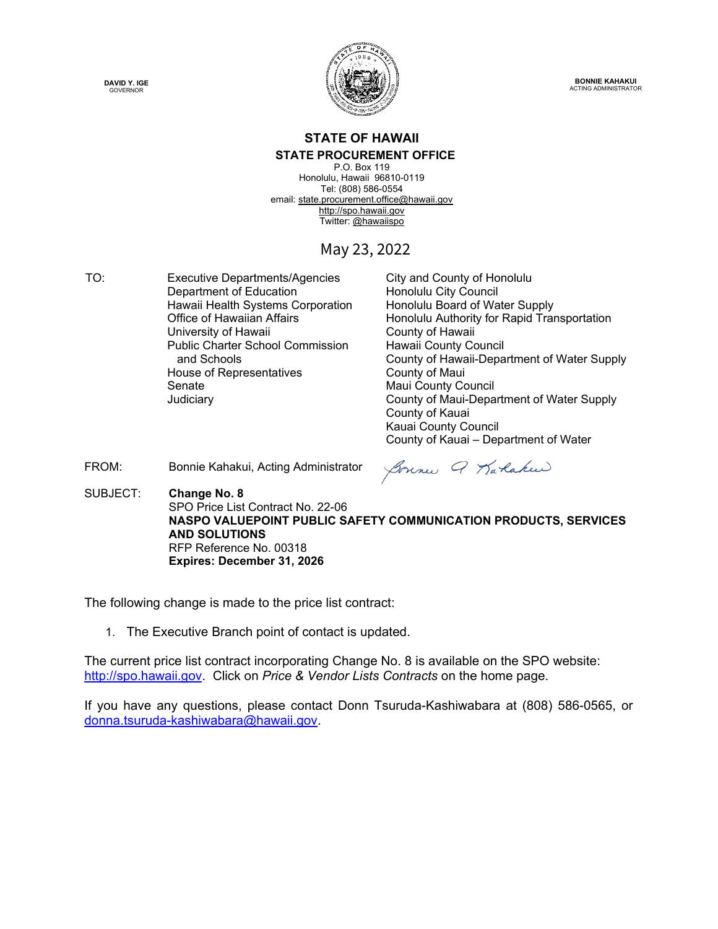



**BONNIE KAHAKUI** ACTING ADMINISTRATOR

### **STATE OF HAWAII**

**STATE PROCUREMENT OFFICE**

P.O. Box 119 Honolulu, Hawaii 96810-0119 Tel: (808) 586-0554 email[: state.procurement.office@hawaii.gov](mailto:state.procurement.office@hawaii.gov)  [http://spo.hawaii.gov](http://spo.hawaii.gov/)  Twitter: [@hawaiispo](https://twitter.com/hawaiispo) 

### May 23, 2022

TO: Executive Departments/Agencies City and County of Honolulu Department of Education France of Honolulu City Council<br>Hawaii Health Systems Corporation Francellulu Board of Water Supply Hawaii Health Systems Corporation University of Hawaii **County of Hawaii** County of Hawaii Public Charter School Commission and Schools House of Representatives Fig. 2016. County of Maui<br>Senate Fig. 2016. County County Co

Office of Hawaiian Affairs **Honolulu Authority for Rapid Transportation** Hawaii County Council County of Hawaii-Department of Water Supply **Maui County Council** Judiciary County of Maui-Department of Water Supply County of Kauai Kauai County Council County of Kauai – Department of Water

FROM: Bonnie Kahakui, Acting Administrator

Sonne Q Karakee

SUBJECT: **Change No. 8**  SPO Price List Contract No. 22-06 **NASPO VALUEPOINT PUBLIC SAFETY COMMUNICATION PRODUCTS, SERVICES AND SOLUTIONS** RFP Reference No. 00318 **Expires: December 31, 2026** 

The following change is made to the price list contract:

1. The Executive Branch point of contact is updated.

The current price list contract incorporating Change No. 8 is available on the SPO website: [http://spo.hawaii.gov.](http://spo.hawaii.gov/) Click on *Price & Vendor Lists Contracts* on the home page.

If you have any questions, please contact Donn Tsuruda-Kashiwabara at (808) 586-0565, or [donna.tsuruda-kashiwabara@hawaii.gov.](mailto:donna.tsuruda-kashiwabara@hawaii.gov)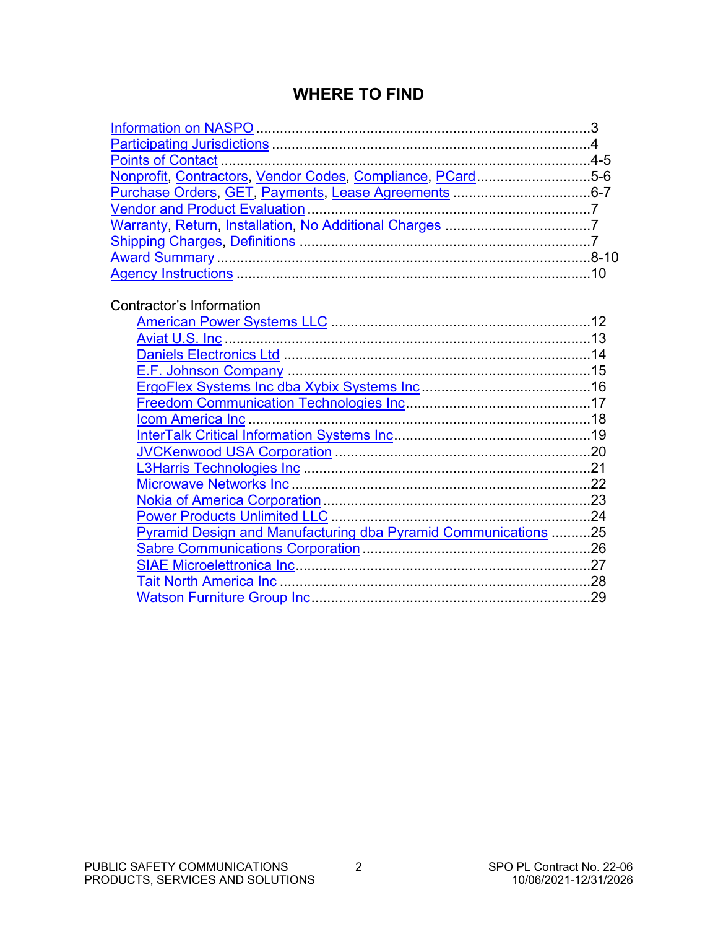### **WHERE TO FIND**

| Nonprofit, Contractors, Vendor Codes, Compliance, PCard5-6 |  |
|------------------------------------------------------------|--|
|                                                            |  |
|                                                            |  |
|                                                            |  |
|                                                            |  |
|                                                            |  |
|                                                            |  |

### Contractor's Information

| <b>American Power Systems LLC</b>                                  |    |
|--------------------------------------------------------------------|----|
| Aviat U.S. Inc.                                                    | 13 |
|                                                                    | 14 |
|                                                                    | 15 |
|                                                                    | 16 |
| <b>Freedom Communication Technologies Inc.</b>                     |    |
|                                                                    |    |
|                                                                    | 19 |
|                                                                    | 20 |
|                                                                    | 21 |
| <b>Microwave Networks Inc</b>                                      | 22 |
|                                                                    | 23 |
| <b>Power Products Unlimited LLC</b>                                | 24 |
| <b>Pyramid Design and Manufacturing dba Pyramid Communications</b> | 25 |
|                                                                    | 26 |
| <b>SIAE Microelettronica Inc.</b>                                  | 27 |
| <b>Tait North America Inc</b>                                      | 28 |
| <b>Watson Furniture Group Inc</b>                                  | 29 |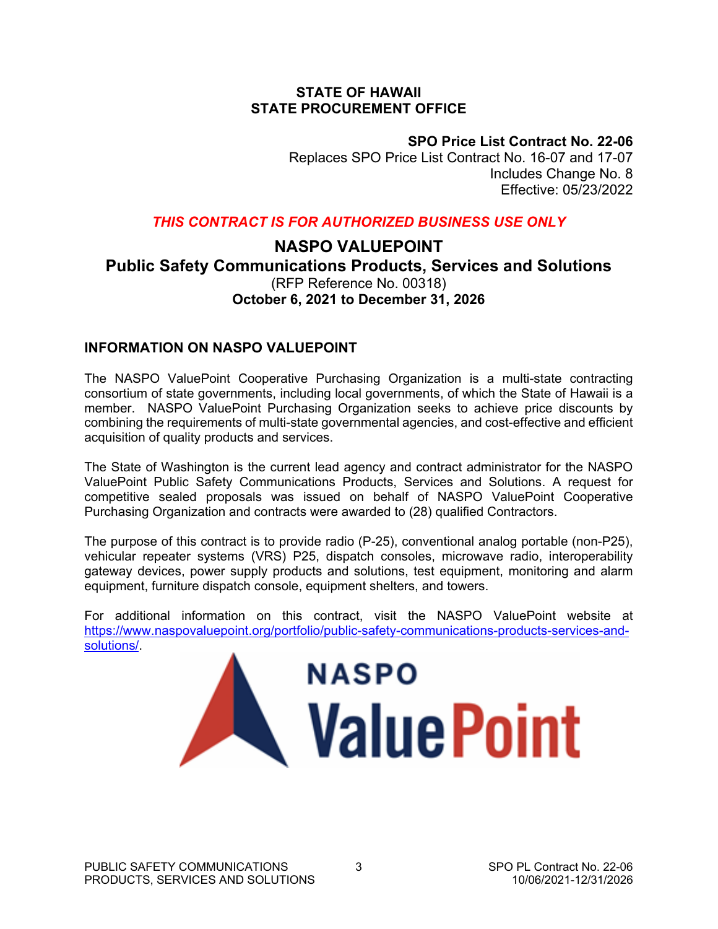#### **STATE OF HAWAII STATE PROCUREMENT OFFICE**

**SPO Price List Contract No. 22-06**

Replaces SPO Price List Contract No. 16-07 and 17-07 Includes Change No. 8 Effective: 05/23/2022

### *THIS CONTRACT IS FOR AUTHORIZED BUSINESS USE ONLY*

### <span id="page-2-0"></span>**NASPO VALUEPOINT Public Safety Communications Products, Services and Solutions** (RFP Reference No. 00318) **October 6, 2021 to December 31, 2026**

#### **INFORMATION ON NASPO VALUEPOINT**

The NASPO ValuePoint Cooperative Purchasing Organization is a multi-state contracting consortium of state governments, including local governments, of which the State of Hawaii is a member. NASPO ValuePoint Purchasing Organization seeks to achieve price discounts by combining the requirements of multi-state governmental agencies, and cost-effective and efficient acquisition of quality products and services.

The State of Washington is the current lead agency and contract administrator for the NASPO ValuePoint Public Safety Communications Products, Services and Solutions. A request for competitive sealed proposals was issued on behalf of NASPO ValuePoint Cooperative Purchasing Organization and contracts were awarded to (28) qualified Contractors.

The purpose of this contract is to provide radio (P-25), conventional analog portable (non-P25), vehicular repeater systems (VRS) P25, dispatch consoles, microwave radio, interoperability gateway devices, power supply products and solutions, test equipment, monitoring and alarm equipment, furniture dispatch console, equipment shelters, and towers.

For additional information on this contract, visit the NASPO ValuePoint website at [https://www.naspovaluepoint.org/portfolio/public-safety-communications-products-services-and](https://www.naspovaluepoint.org/portfolio/public-safety-communications-products-services-and-solutions/)[solutions/.](https://www.naspovaluepoint.org/portfolio/public-safety-communications-products-services-and-solutions/)

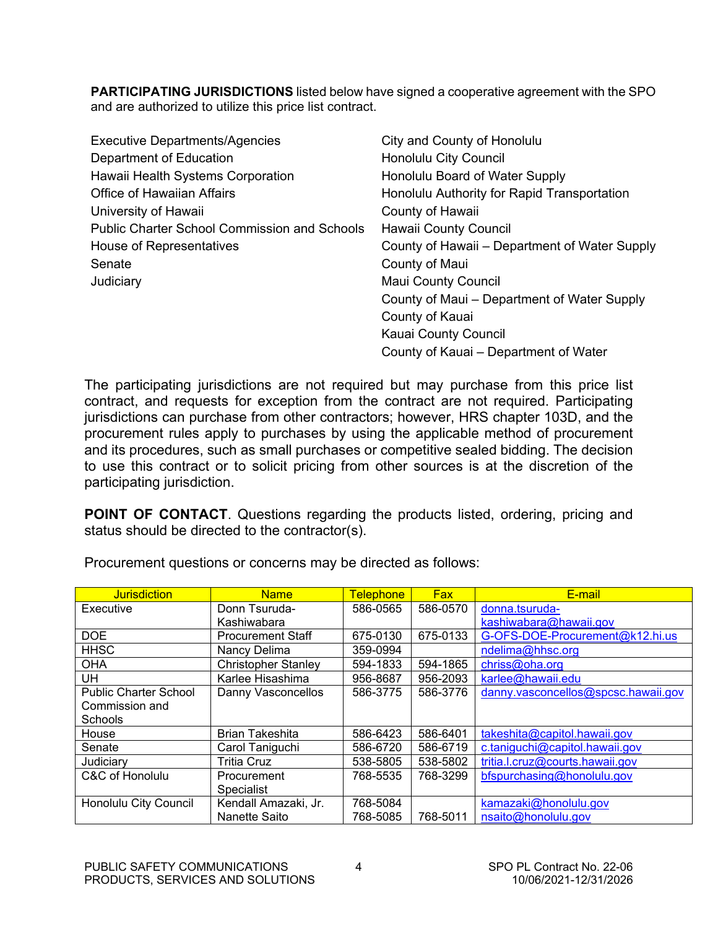<span id="page-3-0"></span>**PARTICIPATING JURISDICTIONS** listed below have signed a cooperative agreement with the SPO and are authorized to utilize this price list contract.

| <b>Executive Departments/Agencies</b>               | City and County of Honolulu                   |
|-----------------------------------------------------|-----------------------------------------------|
| Department of Education                             | <b>Honolulu City Council</b>                  |
| Hawaii Health Systems Corporation                   | Honolulu Board of Water Supply                |
| <b>Office of Hawaiian Affairs</b>                   | Honolulu Authority for Rapid Transportation   |
| University of Hawaii                                | County of Hawaii                              |
| <b>Public Charter School Commission and Schools</b> | <b>Hawaii County Council</b>                  |
| House of Representatives                            | County of Hawaii – Department of Water Supply |
| Senate                                              | County of Maui                                |
| Judiciary                                           | <b>Maui County Council</b>                    |
|                                                     | County of Maui – Department of Water Supply   |
|                                                     | County of Kauai                               |
|                                                     | Kauai County Council                          |
|                                                     | County of Kauai – Department of Water         |

The participating jurisdictions are not required but may purchase from this price list contract, and requests for exception from the contract are not required. Participating jurisdictions can purchase from other contractors; however, HRS chapter 103D, and the procurement rules apply to purchases by using the applicable method of procurement and its procedures, such as small purchases or competitive sealed bidding. The decision to use this contract or to solicit pricing from other sources is at the discretion of the participating jurisdiction.

**POINT OF CONTACT**. Questions regarding the products listed, ordering, pricing and status should be directed to the contractor(s).

| <b>Jurisdiction</b>          | <b>Name</b>                | <b>Telephone</b> | <b>Fax</b> | E-mail                              |
|------------------------------|----------------------------|------------------|------------|-------------------------------------|
| Executive                    | Donn Tsuruda-              | 586-0565         | 586-0570   | donna.tsuruda-                      |
|                              | Kashiwabara                |                  |            | kashiwabara@hawaii.gov              |
| <b>DOE</b>                   | <b>Procurement Staff</b>   | 675-0130         | 675-0133   | G-OFS-DOE-Procurement@k12.hi.us     |
| <b>HHSC</b>                  | Nancy Delima               | 359-0994         |            | ndelima@hhsc.org                    |
| <b>OHA</b>                   | <b>Christopher Stanley</b> | 594-1833         | 594-1865   | chriss@oha.org                      |
| <b>UH</b>                    | Karlee Hisashima           | 956-8687         | 956-2093   | karlee@hawaii.edu                   |
| <b>Public Charter School</b> | Danny Vasconcellos         | 586-3775         | 586-3776   | danny.vasconcellos@spcsc.hawaii.gov |
| Commission and               |                            |                  |            |                                     |
| <b>Schools</b>               |                            |                  |            |                                     |
| House                        | <b>Brian Takeshita</b>     | 586-6423         | 586-6401   | takeshita@capitol.hawaii.gov        |
| Senate                       | Carol Taniguchi            | 586-6720         | 586-6719   | c.taniguchi@capitol.hawaii.gov      |
| Judiciary                    | Tritia Cruz                | 538-5805         | 538-5802   | tritia.l.cruz@courts.hawaii.gov     |
| C&C of Honolulu              | Procurement                | 768-5535         | 768-3299   | bfspurchasing@honolulu.gov          |
|                              | <b>Specialist</b>          |                  |            |                                     |
| Honolulu City Council        | Kendall Amazaki, Jr.       | 768-5084         |            | kamazaki@honolulu.gov               |
|                              | Nanette Saito              | 768-5085         | 768-5011   | nsaito@honolulu.gov                 |

Procurement questions or concerns may be directed as follows: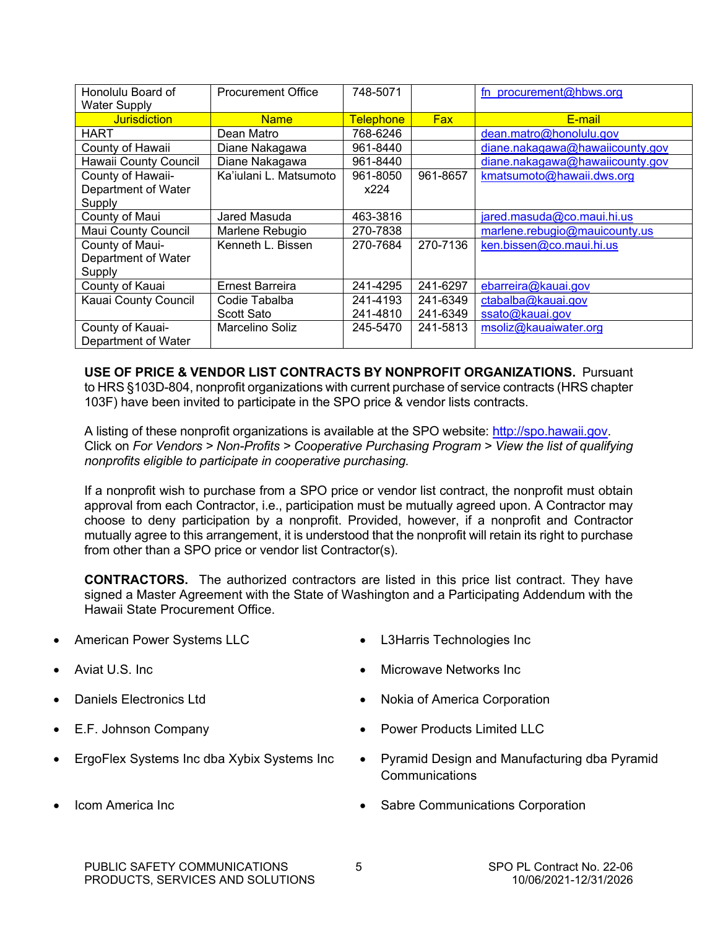<span id="page-4-0"></span>

| Honolulu Board of<br><b>Water Supply</b> | <b>Procurement Office</b> | 748-5071         |            | fn procurement@hbws.org         |
|------------------------------------------|---------------------------|------------------|------------|---------------------------------|
| <b>Jurisdiction</b>                      | <b>Name</b>               | <b>Telephone</b> | <b>Fax</b> | E-mail                          |
| <b>HART</b>                              | Dean Matro                | 768-6246         |            | dean.matro@honolulu.gov         |
| County of Hawaii                         | Diane Nakagawa            | 961-8440         |            | diane.nakagawa@hawaiicounty.gov |
| <b>Hawaii County Council</b>             | Diane Nakagawa            | 961-8440         |            | diane.nakagawa@hawaiicounty.gov |
| County of Hawaii-                        | Ka'iulani L. Matsumoto    | 961-8050         | 961-8657   | kmatsumoto@hawaii.dws.org       |
| Department of Water                      |                           | x224             |            |                                 |
| Supply                                   |                           |                  |            |                                 |
| County of Maui                           | Jared Masuda              | 463-3816         |            | jared.masuda@co.maui.hi.us      |
| <b>Maui County Council</b>               | Marlene Rebugio           | 270-7838         |            | marlene.rebugio@mauicounty.us   |
| County of Maui-                          | Kenneth L. Bissen         | 270-7684         | 270-7136   | ken.bissen@co.maui.hi.us        |
| Department of Water                      |                           |                  |            |                                 |
| Supply                                   |                           |                  |            |                                 |
| County of Kauai                          | Ernest Barreira           | 241-4295         | 241-6297   | ebarreira@kauai.gov             |
| Kauai County Council                     | Codie Tabalba             | 241-4193         | 241-6349   | ctabalba@kauai.gov              |
|                                          | Scott Sato                | 241-4810         | 241-6349   | ssato@kauai.gov                 |
| County of Kauai-                         | Marcelino Soliz           | 245-5470         | 241-5813   | msoliz@kauaiwater.org           |
| Department of Water                      |                           |                  |            |                                 |

**USE OF PRICE & VENDOR LIST CONTRACTS BY NONPROFIT ORGANIZATIONS.** Pursuant to HRS §103D-804, nonprofit organizations with current purchase of service contracts (HRS chapter 103F) have been invited to participate in the SPO price & vendor lists contracts.

A listing of these nonprofit organizations is available at the SPO website: [http://spo.hawaii.gov.](http://spo.hawaii.gov/) Click on *For Vendors > Non-Profits > Cooperative Purchasing Program > View the list of qualifying nonprofits eligible to participate in cooperative purchasing.*

If a nonprofit wish to purchase from a SPO price or vendor list contract, the nonprofit must obtain approval from each Contractor, i.e., participation must be mutually agreed upon. A Contractor may choose to deny participation by a nonprofit. Provided, however, if a nonprofit and Contractor mutually agree to this arrangement, it is understood that the nonprofit will retain its right to purchase from other than a SPO price or vendor list Contractor(s).

**CONTRACTORS.** The authorized contractors are listed in this price list contract. They have signed a Master Agreement with the State of Washington and a Participating Addendum with the Hawaii State Procurement Office.

- American Power Systems LLC L3Harris Technologies Inc
- 
- 
- 
- 
- 
- 
- Aviat U.S. Inc Microwave Networks Inc
- Daniels Electronics Ltd Nokia of America Corporation
- E.F. Johnson Company  **Power Products Limited LLC**
- ErgoFlex Systems Inc dba Xybix Systems Inc Pyramid Design and Manufacturing dba Pyramid **Communications**
- Icom America Inc  **Sabre Communications Corporation**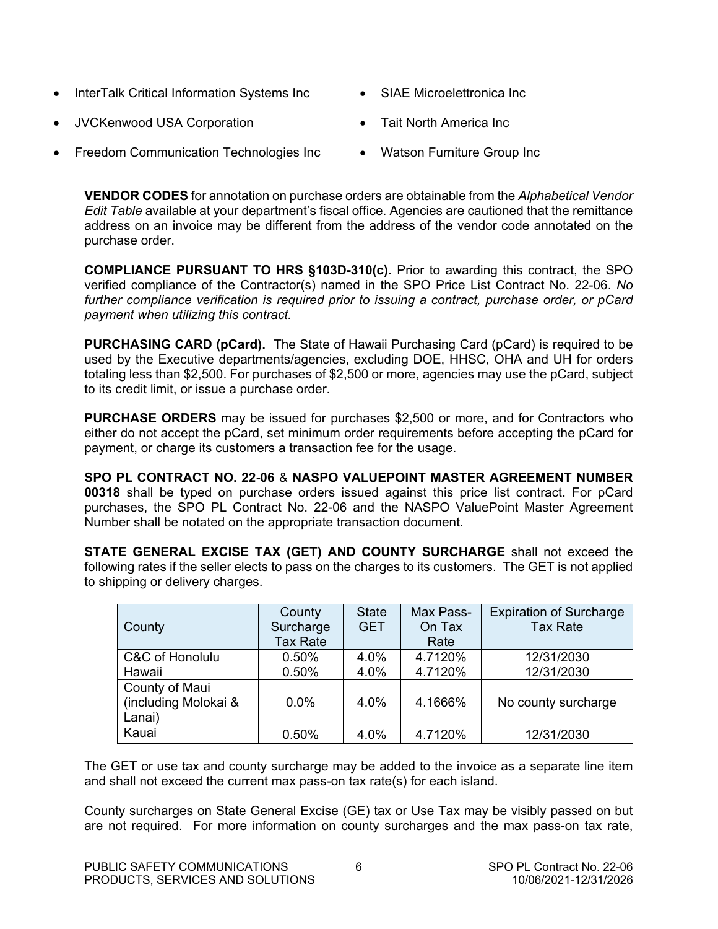- <span id="page-5-0"></span>• InterTalk Critical Information Systems Inc • SIAE Microelettronica Inc
- JVCKenwood USA Corporation Tait North America Inc
	- Freedom Communication Technologies Inc Watson Furniture Group Inc
- 
- -

**VENDOR CODES** for annotation on purchase orders are obtainable from the *Alphabetical Vendor Edit Table* available at your department's fiscal office. Agencies are cautioned that the remittance address on an invoice may be different from the address of the vendor code annotated on the purchase order.

**COMPLIANCE PURSUANT TO HRS §103D-310(c).** Prior to awarding this contract, the SPO verified compliance of the Contractor(s) named in the SPO Price List Contract No. 22-06. *No further compliance verification is required prior to issuing a contract, purchase order, or pCard payment when utilizing this contract.*

**PURCHASING CARD (pCard).** The State of Hawaii Purchasing Card (pCard) is required to be used by the Executive departments/agencies, excluding DOE, HHSC, OHA and UH for orders totaling less than \$2,500. For purchases of \$2,500 or more, agencies may use the pCard, subject to its credit limit, or issue a purchase order.

**PURCHASE ORDERS** may be issued for purchases \$2,500 or more, and for Contractors who either do not accept the pCard, set minimum order requirements before accepting the pCard for payment, or charge its customers a transaction fee for the usage.

**SPO PL CONTRACT NO. 22-06** & **NASPO VALUEPOINT MASTER AGREEMENT NUMBER 00318** shall be typed on purchase orders issued against this price list contract**.** For pCard purchases, the SPO PL Contract No. 22-06 and the NASPO ValuePoint Master Agreement Number shall be notated on the appropriate transaction document.

**STATE GENERAL EXCISE TAX (GET) AND COUNTY SURCHARGE** shall not exceed the following rates if the seller elects to pass on the charges to its customers. The GET is not applied to shipping or delivery charges.

| County                                           | County<br>Surcharge<br><b>Tax Rate</b> | <b>State</b><br><b>GET</b> | Max Pass-<br>On Tax<br>Rate | <b>Expiration of Surcharge</b><br><b>Tax Rate</b> |
|--------------------------------------------------|----------------------------------------|----------------------------|-----------------------------|---------------------------------------------------|
| C&C of Honolulu                                  | 0.50%                                  | 4.0%                       | 4.7120%                     | 12/31/2030                                        |
| Hawaii                                           | 0.50%                                  | 4.0%                       | 4.7120%                     | 12/31/2030                                        |
| County of Maui<br>(including Molokai &<br>Lanai) | 0.0%                                   | 4.0%                       | 4.1666%                     | No county surcharge                               |
| Kauai                                            | 0.50%                                  | 4.0%                       | 4.7120%                     | 12/31/2030                                        |

The GET or use tax and county surcharge may be added to the invoice as a separate line item and shall not exceed the current max pass-on tax rate(s) for each island.

County surcharges on State General Excise (GE) tax or Use Tax may be visibly passed on but are not required. For more information on county surcharges and the max pass-on tax rate,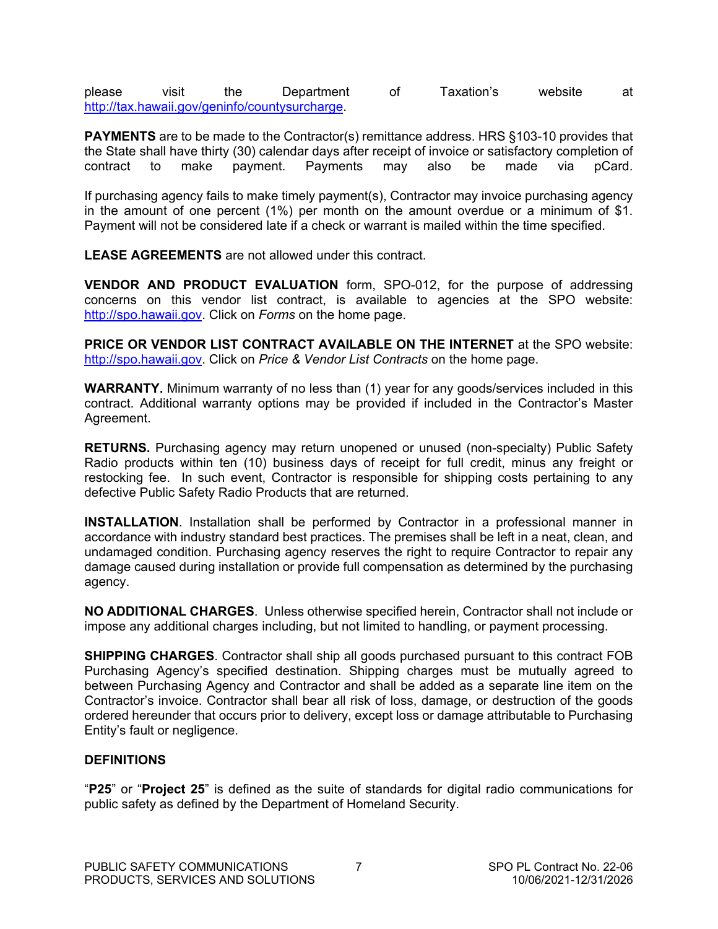<span id="page-6-0"></span>please visit the Department of Taxation's website at [http://tax.hawaii.gov/geninfo/countysurcharge.](http://tax.hawaii.gov/geninfo/countysurcharge)

**PAYMENTS** are to be made to the Contractor(s) remittance address. HRS §103-10 provides that the State shall have thirty (30) calendar days after receipt of invoice or satisfactory completion of contract to make payment. Payments may also be made via pCard.

If purchasing agency fails to make timely payment(s), Contractor may invoice purchasing agency in the amount of one percent (1%) per month on the amount overdue or a minimum of \$1. Payment will not be considered late if a check or warrant is mailed within the time specified.

**LEASE AGREEMENTS** are not allowed under this contract.

**VENDOR AND PRODUCT EVALUATION** form, SPO-012, for the purpose of addressing concerns on this vendor list contract, is available to agencies at the SPO website: [http://spo.hawaii.gov.](http://spo.hawaii.gov/) Click on *Forms* on the home page.

**PRICE OR VENDOR LIST CONTRACT AVAILABLE ON THE INTERNET** at the SPO website: [http://spo.hawaii.gov.](http://spo.hawaii.gov/) Click on *Price & Vendor List Contracts* on the home page.

**WARRANTY.** Minimum warranty of no less than (1) year for any goods/services included in this contract. Additional warranty options may be provided if included in the Contractor's Master Agreement.

**RETURNS.** Purchasing agency may return unopened or unused (non-specialty) Public Safety Radio products within ten (10) business days of receipt for full credit, minus any freight or restocking fee. In such event, Contractor is responsible for shipping costs pertaining to any defective Public Safety Radio Products that are returned.

**INSTALLATION**. Installation shall be performed by Contractor in a professional manner in accordance with industry standard best practices. The premises shall be left in a neat, clean, and undamaged condition. Purchasing agency reserves the right to require Contractor to repair any damage caused during installation or provide full compensation as determined by the purchasing agency.

**NO ADDITIONAL CHARGES**. Unless otherwise specified herein, Contractor shall not include or impose any additional charges including, but not limited to handling, or payment processing.

**SHIPPING CHARGES**. Contractor shall ship all goods purchased pursuant to this contract FOB Purchasing Agency's specified destination. Shipping charges must be mutually agreed to between Purchasing Agency and Contractor and shall be added as a separate line item on the Contractor's invoice. Contractor shall bear all risk of loss, damage, or destruction of the goods ordered hereunder that occurs prior to delivery, except loss or damage attributable to Purchasing Entity's fault or negligence.

#### **DEFINITIONS**

"**P25**" or "**Project 25**" is defined as the suite of standards for digital radio communications for public safety as defined by the Department of Homeland Security.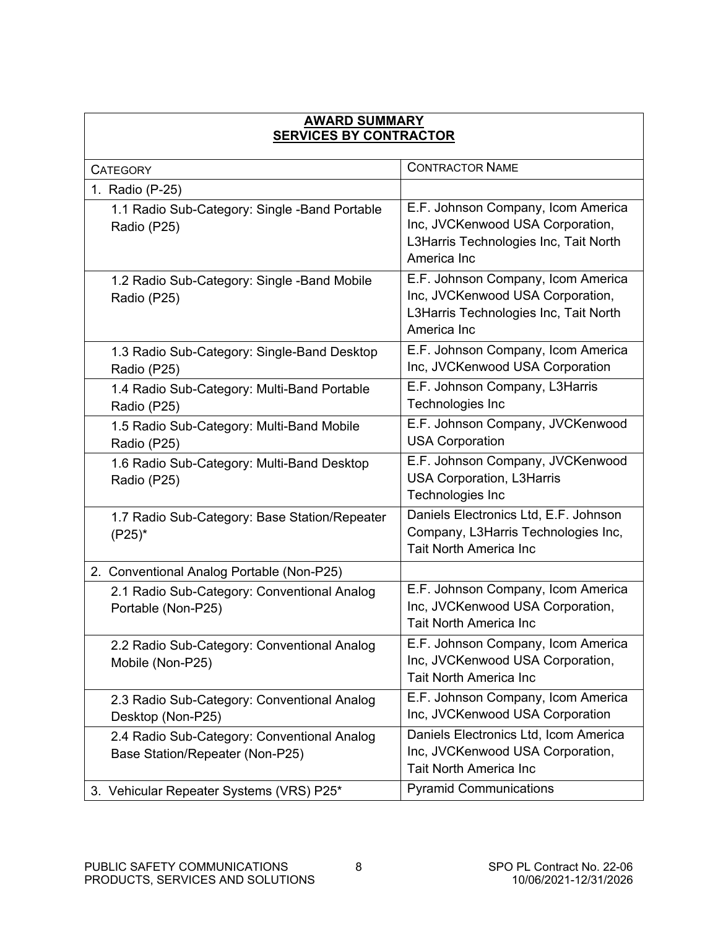<span id="page-7-0"></span>

| <b>AWARD SUMMARY</b><br><b>SERVICES BY CONTRACTOR</b>                          |                                                                                                                                |  |  |
|--------------------------------------------------------------------------------|--------------------------------------------------------------------------------------------------------------------------------|--|--|
| <b>CATEGORY</b>                                                                | <b>CONTRACTOR NAME</b>                                                                                                         |  |  |
| 1. Radio (P-25)                                                                |                                                                                                                                |  |  |
| 1.1 Radio Sub-Category: Single -Band Portable<br>Radio (P25)                   | E.F. Johnson Company, Icom America<br>Inc, JVCKenwood USA Corporation,<br>L3Harris Technologies Inc, Tait North<br>America Inc |  |  |
| 1.2 Radio Sub-Category: Single -Band Mobile<br>Radio (P25)                     | E.F. Johnson Company, Icom America<br>Inc, JVCKenwood USA Corporation,<br>L3Harris Technologies Inc, Tait North<br>America Inc |  |  |
| 1.3 Radio Sub-Category: Single-Band Desktop<br>Radio (P25)                     | E.F. Johnson Company, Icom America<br>Inc, JVCKenwood USA Corporation                                                          |  |  |
| 1.4 Radio Sub-Category: Multi-Band Portable<br>Radio (P25)                     | E.F. Johnson Company, L3Harris<br>Technologies Inc                                                                             |  |  |
| 1.5 Radio Sub-Category: Multi-Band Mobile<br>Radio (P25)                       | E.F. Johnson Company, JVCKenwood<br><b>USA Corporation</b>                                                                     |  |  |
| 1.6 Radio Sub-Category: Multi-Band Desktop<br>Radio (P25)                      | E.F. Johnson Company, JVCKenwood<br><b>USA Corporation, L3Harris</b><br>Technologies Inc                                       |  |  |
| 1.7 Radio Sub-Category: Base Station/Repeater<br>$(P25)^*$                     | Daniels Electronics Ltd, E.F. Johnson<br>Company, L3Harris Technologies Inc,<br><b>Tait North America Inc</b>                  |  |  |
| 2. Conventional Analog Portable (Non-P25)                                      |                                                                                                                                |  |  |
| 2.1 Radio Sub-Category: Conventional Analog<br>Portable (Non-P25)              | E.F. Johnson Company, Icom America<br>Inc, JVCKenwood USA Corporation,<br><b>Tait North America Inc</b>                        |  |  |
| 2.2 Radio Sub-Category: Conventional Analog<br>Mobile (Non-P25)                | E.F. Johnson Company, Icom America<br>Inc, JVCKenwood USA Corporation,<br><b>Tait North America Inc</b>                        |  |  |
| 2.3 Radio Sub-Category: Conventional Analog<br>Desktop (Non-P25)               | E.F. Johnson Company, Icom America<br>Inc, JVCKenwood USA Corporation                                                          |  |  |
| 2.4 Radio Sub-Category: Conventional Analog<br>Base Station/Repeater (Non-P25) | Daniels Electronics Ltd, Icom America<br>Inc, JVCKenwood USA Corporation,<br>Tait North America Inc                            |  |  |
| 3. Vehicular Repeater Systems (VRS) P25*                                       | <b>Pyramid Communications</b>                                                                                                  |  |  |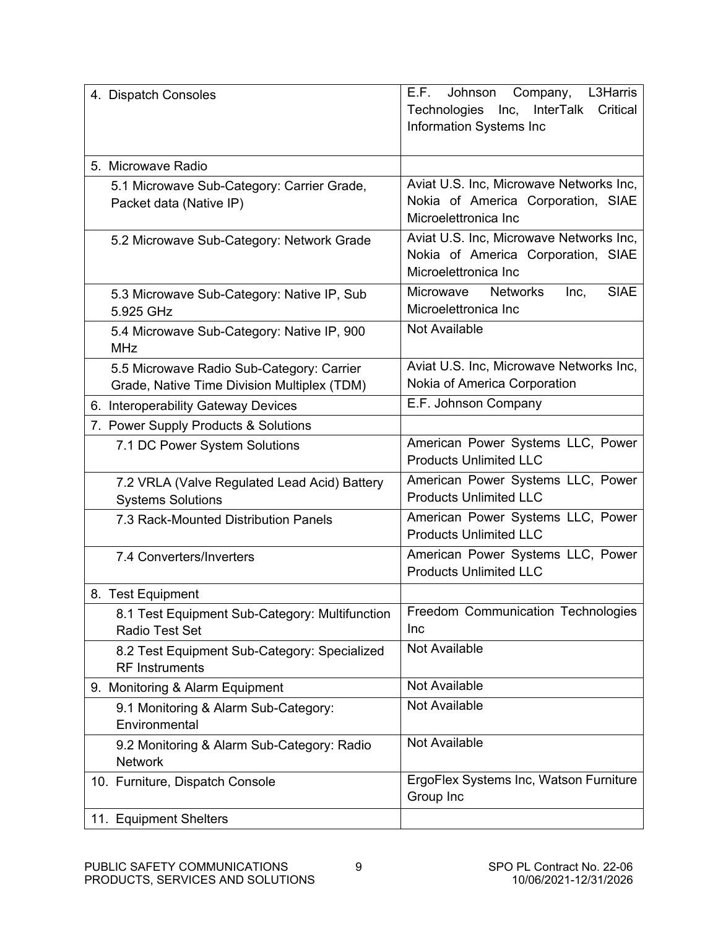| 4. Dispatch Consoles                                                                     | Company, L3Harris<br>E.F. Johnson<br>Critical<br>Technologies Inc, InterTalk<br><b>Information Systems Inc</b> |
|------------------------------------------------------------------------------------------|----------------------------------------------------------------------------------------------------------------|
| 5. Microwave Radio                                                                       |                                                                                                                |
| 5.1 Microwave Sub-Category: Carrier Grade,<br>Packet data (Native IP)                    | Aviat U.S. Inc, Microwave Networks Inc,<br>Nokia of America Corporation, SIAE<br>Microelettronica Inc          |
| 5.2 Microwave Sub-Category: Network Grade                                                | Aviat U.S. Inc, Microwave Networks Inc,<br>Nokia of America Corporation, SIAE<br>Microelettronica Inc          |
| 5.3 Microwave Sub-Category: Native IP, Sub<br>5.925 GHz                                  | <b>SIAE</b><br><b>Networks</b><br>Microwave<br>Inc,<br>Microelettronica Inc                                    |
| 5.4 Microwave Sub-Category: Native IP, 900<br><b>MHz</b>                                 | Not Available                                                                                                  |
| 5.5 Microwave Radio Sub-Category: Carrier<br>Grade, Native Time Division Multiplex (TDM) | Aviat U.S. Inc, Microwave Networks Inc,<br>Nokia of America Corporation                                        |
| 6. Interoperability Gateway Devices                                                      | E.F. Johnson Company                                                                                           |
| 7. Power Supply Products & Solutions                                                     |                                                                                                                |
| 7.1 DC Power System Solutions                                                            | American Power Systems LLC, Power<br><b>Products Unlimited LLC</b>                                             |
| 7.2 VRLA (Valve Regulated Lead Acid) Battery<br><b>Systems Solutions</b>                 | American Power Systems LLC, Power<br><b>Products Unlimited LLC</b>                                             |
| 7.3 Rack-Mounted Distribution Panels                                                     | American Power Systems LLC, Power<br><b>Products Unlimited LLC</b>                                             |
| 7.4 Converters/Inverters                                                                 | American Power Systems LLC, Power<br><b>Products Unlimited LLC</b>                                             |
| 8. Test Equipment                                                                        |                                                                                                                |
| 8.1 Test Equipment Sub-Category: Multifunction<br><b>Radio Test Set</b>                  | Freedom Communication Technologies<br>Inc                                                                      |
| 8.2 Test Equipment Sub-Category: Specialized<br><b>RF</b> Instruments                    | Not Available                                                                                                  |
| 9. Monitoring & Alarm Equipment                                                          | Not Available                                                                                                  |
| 9.1 Monitoring & Alarm Sub-Category:<br>Environmental                                    | Not Available                                                                                                  |
| 9.2 Monitoring & Alarm Sub-Category: Radio<br><b>Network</b>                             | Not Available                                                                                                  |
| 10. Furniture, Dispatch Console                                                          | ErgoFlex Systems Inc, Watson Furniture<br>Group Inc                                                            |
| 11. Equipment Shelters                                                                   |                                                                                                                |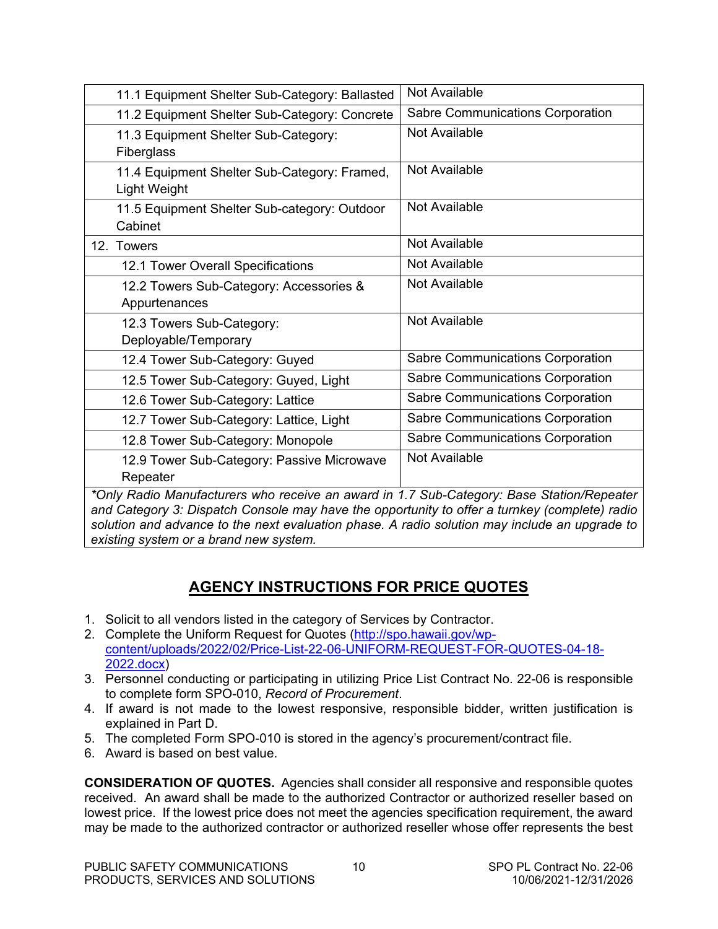<span id="page-9-0"></span>

| 11.1 Equipment Shelter Sub-Category: Ballasted                                            | Not Available                    |  |
|-------------------------------------------------------------------------------------------|----------------------------------|--|
| 11.2 Equipment Shelter Sub-Category: Concrete                                             | Sabre Communications Corporation |  |
| 11.3 Equipment Shelter Sub-Category:<br>Fiberglass                                        | Not Available                    |  |
| 11.4 Equipment Shelter Sub-Category: Framed,<br>Light Weight                              | Not Available                    |  |
| 11.5 Equipment Shelter Sub-category: Outdoor<br>Cabinet                                   | Not Available                    |  |
| 12. Towers                                                                                | Not Available                    |  |
| 12.1 Tower Overall Specifications                                                         | Not Available                    |  |
| 12.2 Towers Sub-Category: Accessories &                                                   | Not Available                    |  |
| Appurtenances                                                                             |                                  |  |
| 12.3 Towers Sub-Category:                                                                 | Not Available                    |  |
| Deployable/Temporary                                                                      |                                  |  |
| 12.4 Tower Sub-Category: Guyed                                                            | Sabre Communications Corporation |  |
| 12.5 Tower Sub-Category: Guyed, Light                                                     | Sabre Communications Corporation |  |
| 12.6 Tower Sub-Category: Lattice                                                          | Sabre Communications Corporation |  |
| 12.7 Tower Sub-Category: Lattice, Light                                                   | Sabre Communications Corporation |  |
| 12.8 Tower Sub-Category: Monopole                                                         | Sabre Communications Corporation |  |
| 12.9 Tower Sub-Category: Passive Microwave                                                | Not Available                    |  |
| Repeater                                                                                  |                                  |  |
| *Only Radio Manufacturers who receive an award in 1.7 Sub-Category: Base Station/Repeater |                                  |  |

*and Category 3: Dispatch Console may have the opportunity to offer a turnkey (complete) radio solution and advance to the next evaluation phase. A radio solution may include an upgrade to existing system or a brand new system.*

### **AGENCY INSTRUCTIONS FOR PRICE QUOTES**

- 1. Solicit to all vendors listed in the category of Services by Contractor.
- 2. Complete the Uniform Request for Quotes [\(http://spo.hawaii.gov/wp](http://spo.hawaii.gov/wp-content/uploads/2022/02/Price-List-22-06-UNIFORM-REQUEST-FOR-QUOTES-04-18-2022.docx)[content/uploads/2022/02/Price-List-22-06-UNIFORM-REQUEST-FOR-QUOTES-04-18-](http://spo.hawaii.gov/wp-content/uploads/2022/02/Price-List-22-06-UNIFORM-REQUEST-FOR-QUOTES-04-18-2022.docx) [2022.docx\)](http://spo.hawaii.gov/wp-content/uploads/2022/02/Price-List-22-06-UNIFORM-REQUEST-FOR-QUOTES-04-18-2022.docx)
- 3. Personnel conducting or participating in utilizing Price List Contract No. 22-06 is responsible to complete form SPO-010, *Record of Procurement*.
- 4. If award is not made to the lowest responsive, responsible bidder, written justification is explained in Part D.
- 5. The completed Form SPO-010 is stored in the agency's procurement/contract file.
- 6. Award is based on best value.

**CONSIDERATION OF QUOTES.** Agencies shall consider all responsive and responsible quotes received. An award shall be made to the authorized Contractor or authorized reseller based on lowest price. If the lowest price does not meet the agencies specification requirement, the award may be made to the authorized contractor or authorized reseller whose offer represents the best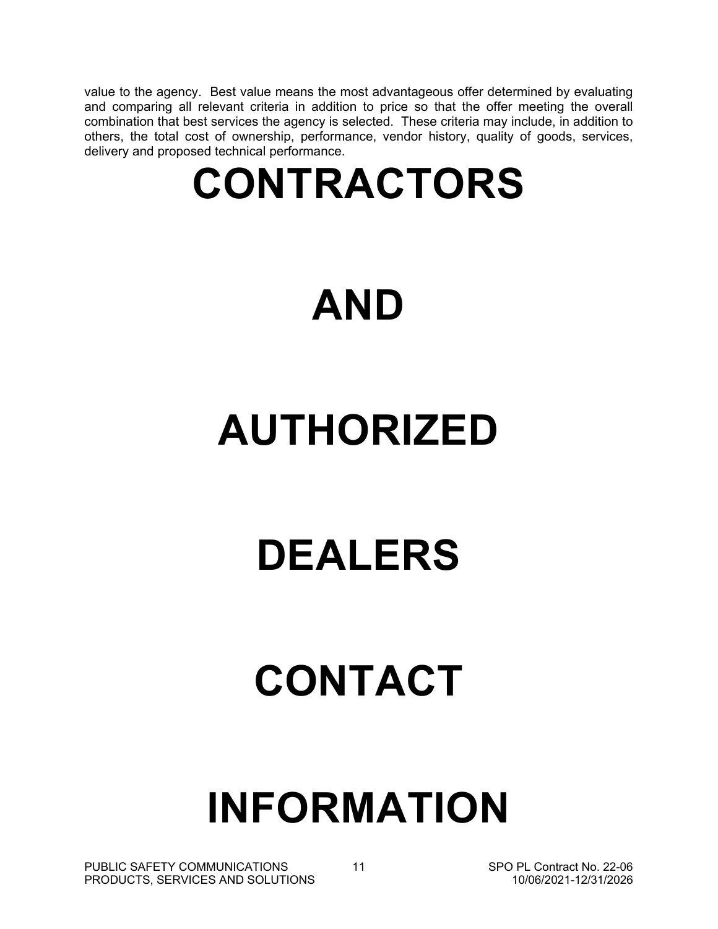value to the agency. Best value means the most advantageous offer determined by evaluating and comparing all relevant criteria in addition to price so that the offer meeting the overall combination that best services the agency is selected. These criteria may include, in addition to others, the total cost of ownership, performance, vendor history, quality of goods, services, delivery and proposed technical performance.

## **CONTRACTORS**

# **AND**

# **AUTHORIZED**

# **DEALERS**

# **CONTACT**

## **INFORMATION**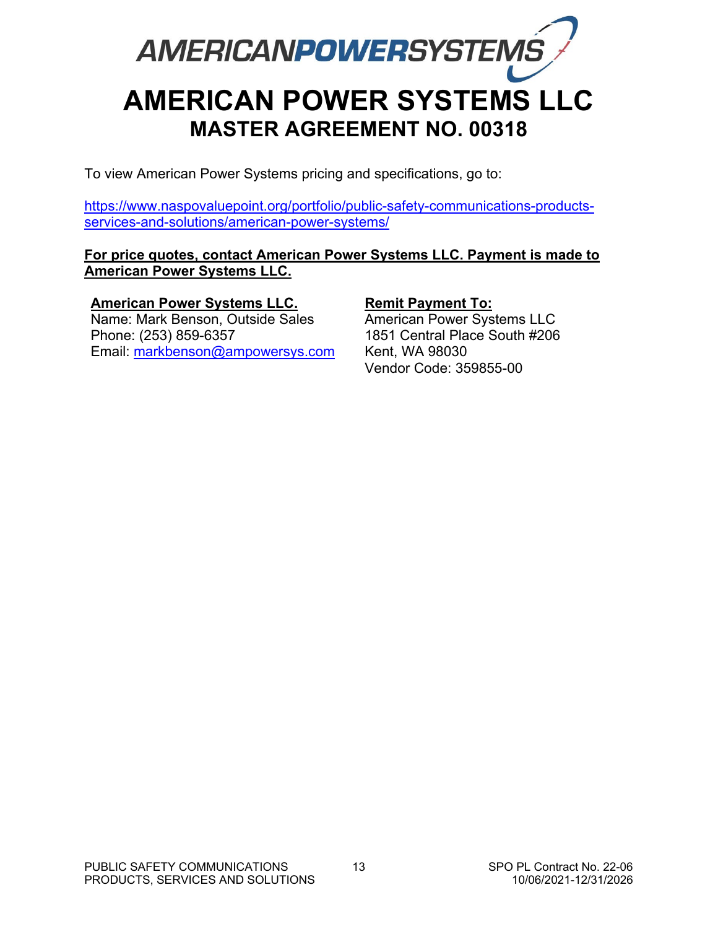<span id="page-11-0"></span>

To view American Power Systems pricing and specifications, go to:

[https://www.naspovaluepoint.org/portfolio/public-safety-communications-products](https://www.naspovaluepoint.org/portfolio/public-safety-communications-products-services-and-solutions/american-power-systems/)[services-and-solutions/american-power-systems/](https://www.naspovaluepoint.org/portfolio/public-safety-communications-products-services-and-solutions/american-power-systems/)

#### **For price quotes, contact American Power Systems LLC. Payment is made to American Power Systems LLC.**

### **American Power Systems LLC.**

Name: Mark Benson, Outside Sales Phone: (253) 859-6357 Email: [markbenson@ampowersys.com](mailto:markbenson@ampowersys.com)

### **Remit Payment To:**

American Power Systems LLC 1851 Central Place South #206 Kent, WA 98030 Vendor Code: 359855-00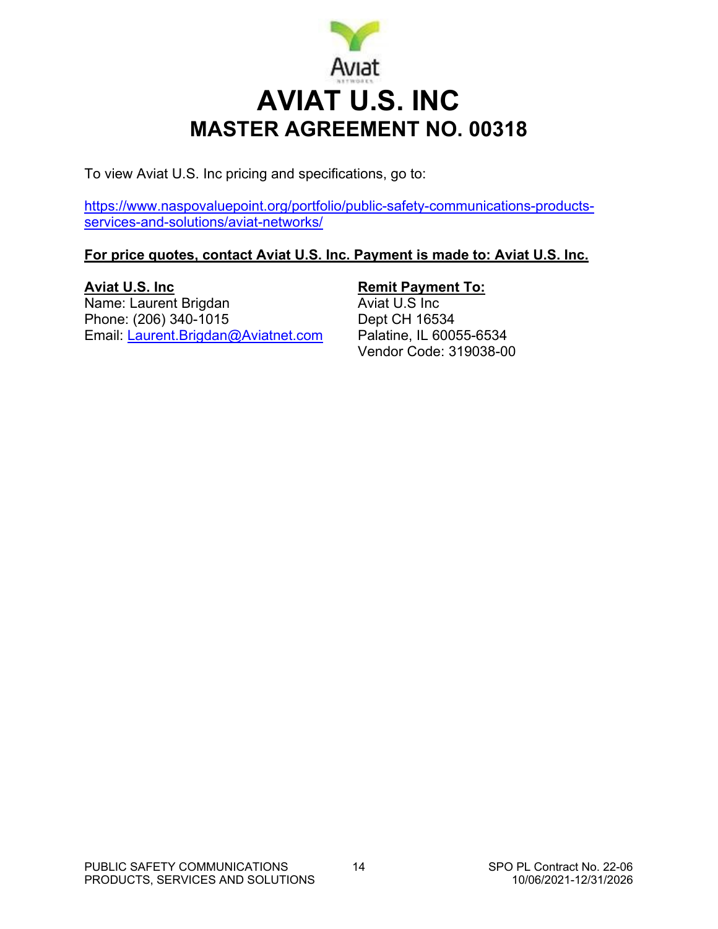<span id="page-12-0"></span>

To view Aviat U.S. Inc pricing and specifications, go to:

[https://www.naspovaluepoint.org/portfolio/public-safety-communications-products](https://www.naspovaluepoint.org/portfolio/public-safety-communications-products-services-and-solutions/aviat-networks/)[services-and-solutions/aviat-networks/](https://www.naspovaluepoint.org/portfolio/public-safety-communications-products-services-and-solutions/aviat-networks/)

### **For price quotes, contact Aviat U.S. Inc. Payment is made to: Aviat U.S. Inc.**

### **Aviat U.S. Inc**

Name: Laurent Brigdan Phone: (206) 340-1015 Email: [Laurent.Brigdan@Aviatnet.com](mailto:Laurent.Brigdan@Aviatnet.com)

### **Remit Payment To:**

Aviat U.S Inc Dept CH 16534 Palatine, IL 60055-6534 Vendor Code: 319038-00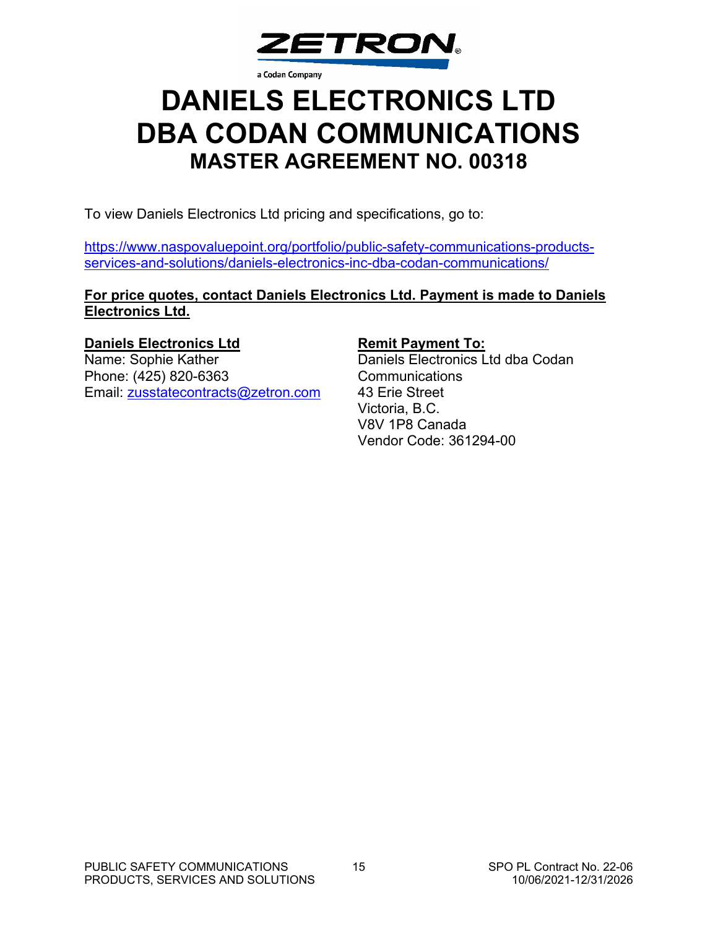

a Codan Company

### <span id="page-13-0"></span>**DANIELS ELECTRONICS LTD DBA CODAN COMMUNICATIONS MASTER AGREEMENT NO. 00318**

To view Daniels Electronics Ltd pricing and specifications, go to:

[https://www.naspovaluepoint.org/portfolio/public-safety-communications-products](https://www.naspovaluepoint.org/portfolio/public-safety-communications-products-services-and-solutions/daniels-electronics-inc-dba-codan-communications/)[services-and-solutions/daniels-electronics-inc-dba-codan-communications/](https://www.naspovaluepoint.org/portfolio/public-safety-communications-products-services-and-solutions/daniels-electronics-inc-dba-codan-communications/)

### **For price quotes, contact Daniels Electronics Ltd. Payment is made to Daniels Electronics Ltd.**

### **Daniels Electronics Ltd**

Name: Sophie Kather Phone: (425) 820-6363 Email: [zusstatecontracts@zetron.com](mailto:zusstatecontracts@zetron.com)

### **Remit Payment To:**

Daniels Electronics Ltd dba Codan Communications 43 Erie Street Victoria, B.C. V8V 1P8 Canada Vendor Code: 361294-00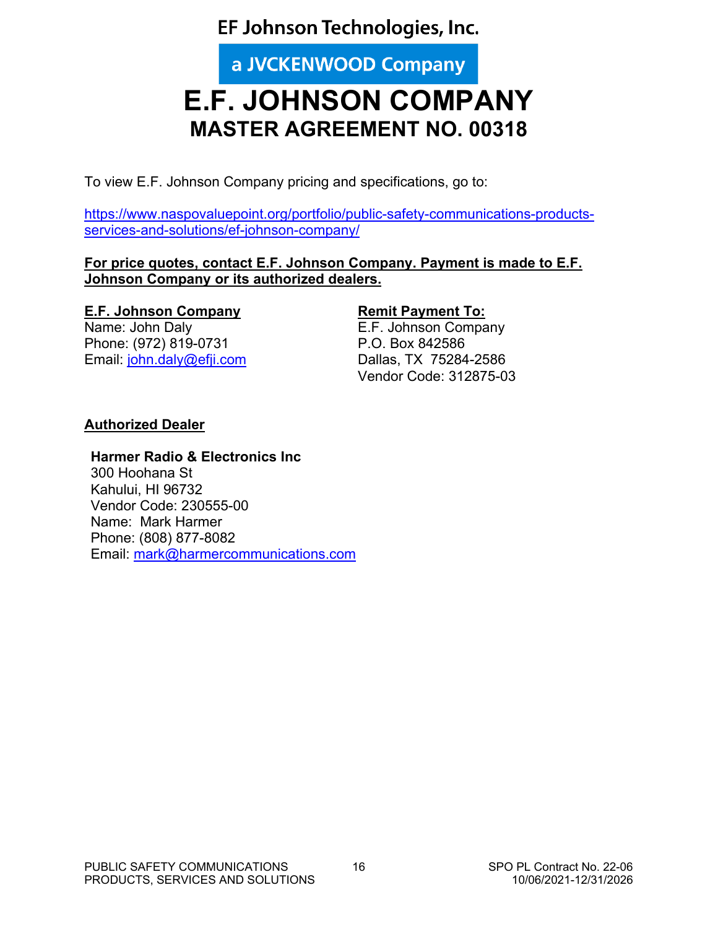### EF Johnson Technologies, Inc.

a JVCKENWOOD Company

### **E.F. JOHNSON COMPANY MASTER AGREEMENT NO. 00318**

<span id="page-14-0"></span>To view E.F. Johnson Company pricing and specifications, go to:

[https://www.naspovaluepoint.org/portfolio/public-safety-communications-products](https://www.naspovaluepoint.org/portfolio/public-safety-communications-products-services-and-solutions/ef-johnson-company/)[services-and-solutions/ef-johnson-company/](https://www.naspovaluepoint.org/portfolio/public-safety-communications-products-services-and-solutions/ef-johnson-company/) 

**For price quotes, contact E.F. Johnson Company. Payment is made to E.F. Johnson Company or its authorized dealers.** 

**E.F. Johnson Company** Name: John Daly Phone: (972) 819-0731 Email: [john.daly@efji.com](mailto:john.daly@efji.com)

### **Remit Payment To:**

E.F. Johnson Company P.O. Box 842586 Dallas, TX 75284-2586 Vendor Code: 312875-03

### **Authorized Dealer**

**Harmer Radio & Electronics Inc** 300 Hoohana St Kahului, HI 96732 Vendor Code: 230555-00 Name: Mark Harmer Phone: (808) 877-8082 Email: mark@harmercommunications.com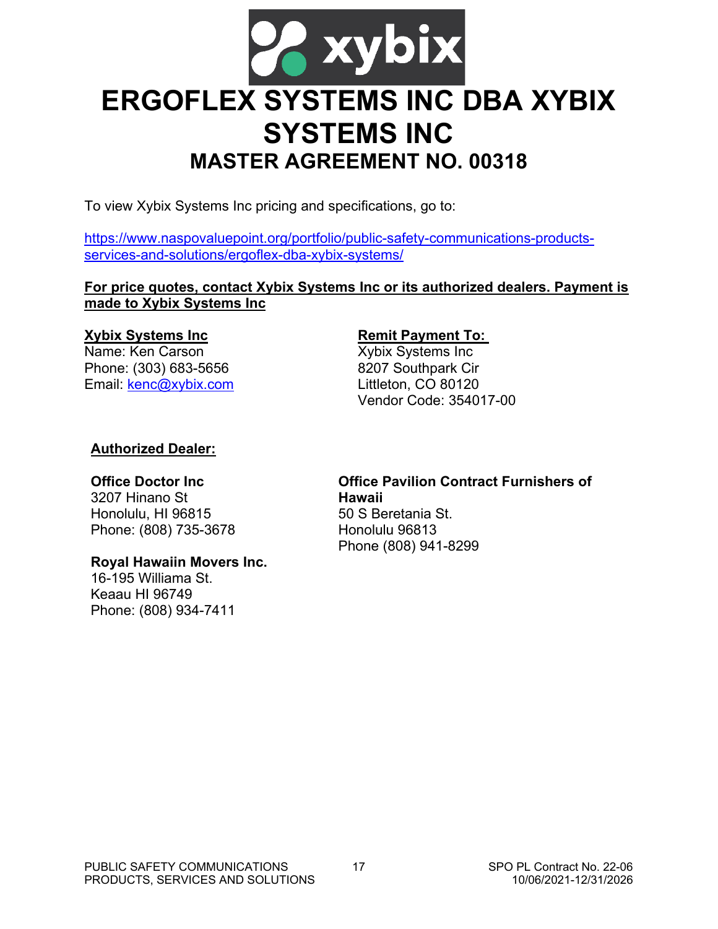

### <span id="page-15-0"></span>**ERGOFLEX SYSTEMS INC DBA XYBIX SYSTEMS INC MASTER AGREEMENT NO. 00318**

To view Xybix Systems Inc pricing and specifications, go to:

[https://www.naspovaluepoint.org/portfolio/public-safety-communications-products](https://www.naspovaluepoint.org/portfolio/public-safety-communications-products-services-and-solutions/ergoflex-dba-xybix-systems/)[services-and-solutions/ergoflex-dba-xybix-systems/](https://www.naspovaluepoint.org/portfolio/public-safety-communications-products-services-and-solutions/ergoflex-dba-xybix-systems/)

### **For price quotes, contact Xybix Systems Inc or its authorized dealers. Payment is made to Xybix Systems Inc**

### **Xybix Systems Inc**

Name: Ken Carson Phone: (303) 683-5656 Email: [kenc@xybix.com](mailto:kenc@xybix.com)

### **Remit Payment To:**

Xybix Systems Inc 8207 Southpark Cir Littleton, CO 80120 Vendor Code: 354017-00

### **Authorized Dealer:**

### **Office Doctor Inc**

3207 Hinano St Honolulu, HI 96815 Phone: (808) 735-3678

### **Royal Hawaiin Movers Inc.**

16-195 Williama St. Keaau HI 96749 Phone: (808) 934-7411

#### **Office Pavilion Contract Furnishers of Hawaii**  50 S Beretania St. Honolulu 96813 Phone (808) 941-8299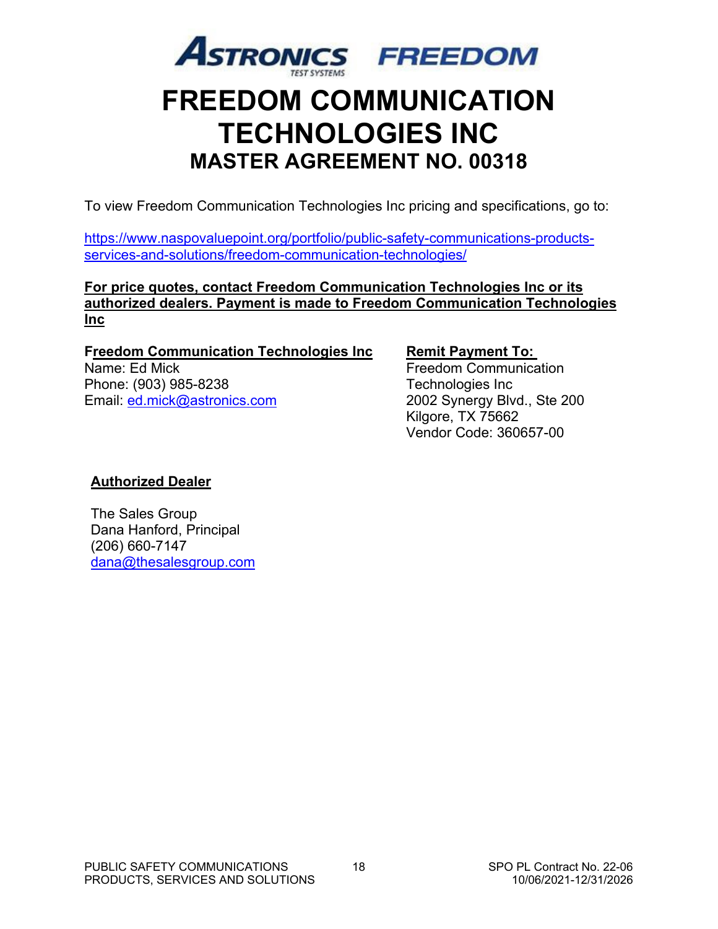<span id="page-16-0"></span>

### **FREEDOM COMMUNICATION TECHNOLOGIES INC MASTER AGREEMENT NO. 00318**

To view Freedom Communication Technologies Inc pricing and specifications, go to:

[https://www.naspovaluepoint.org/portfolio/public-safety-communications-products](https://www.naspovaluepoint.org/portfolio/public-safety-communications-products-services-and-solutions/freedom-communication-technologies/)[services-and-solutions/freedom-communication-technologies/](https://www.naspovaluepoint.org/portfolio/public-safety-communications-products-services-and-solutions/freedom-communication-technologies/)

**For price quotes, contact Freedom Communication Technologies Inc or its authorized dealers. Payment is made to Freedom Communication Technologies Inc**

**Freedom Communication Technologies Inc** Name: Ed Mick Phone: (903) 985-8238 Email: [ed.mick@astronics.com](mailto:ed.mick@astronics.com)

**Remit Payment To:** Freedom Communication Technologies Inc 2002 Synergy Blvd., Ste 200 Kilgore, TX 75662 Vendor Code: 360657-00

### **Authorized Dealer**

The Sales Group Dana Hanford, Principal (206) 660-7147 [dana@thesalesgroup.com](mailto:dana@thesalesgroup.com)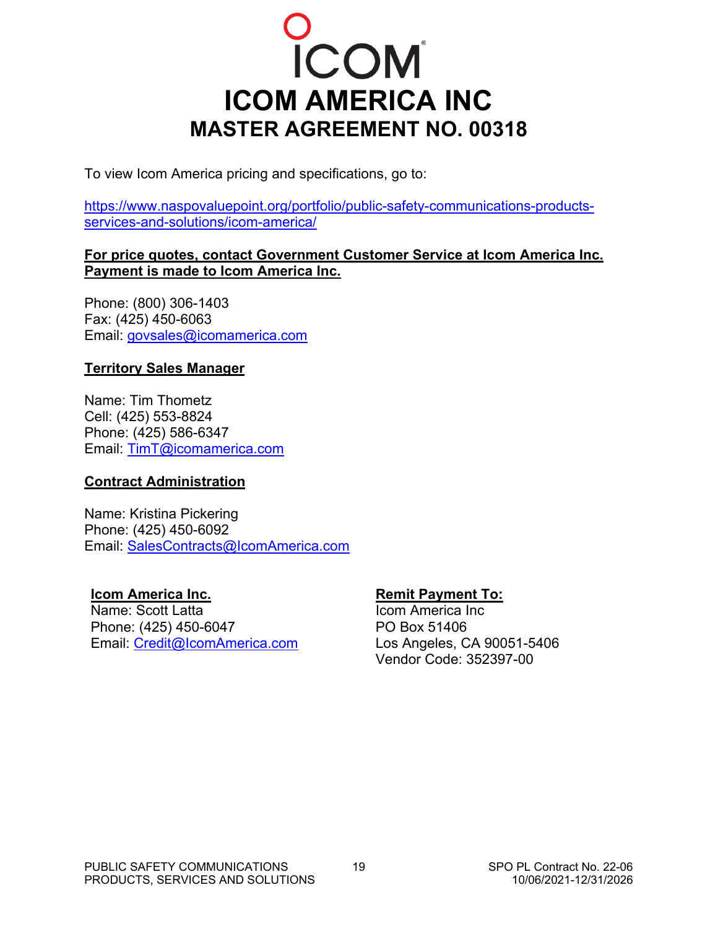## **ICOM ICOM AMERICA INC MASTER AGREEMENT NO. 00318**

<span id="page-17-0"></span>To view Icom America pricing and specifications, go to:

[https://www.naspovaluepoint.org/portfolio/public-safety-communications-products](https://www.naspovaluepoint.org/portfolio/public-safety-communications-products-services-and-solutions/icom-america/)[services-and-solutions/icom-america/](https://www.naspovaluepoint.org/portfolio/public-safety-communications-products-services-and-solutions/icom-america/)

#### **For price quotes, contact Government Customer Service at Icom America Inc. Payment is made to Icom America Inc.**

Phone: (800) 306-1403 Fax: (425) 450-6063 Email: [govsales@icomamerica.com](mailto:govsales@icomamerica.com) 

### **Territory Sales Manager**

Name: Tim Thometz Cell: (425) 553-8824 Phone: (425) 586-6347 Email: [TimT@icomamerica.com](mailto:TimT@icomamerica.com) 

#### **Contract Administration**

Name: Kristina Pickering Phone: (425) 450-6092 Email: [SalesContracts@IcomAmerica.com](mailto:SalesContracts@IcomAmerica.com) 

### **Icom America Inc.**

Name: Scott Latta Phone: (425) 450-6047 Email: [Credit@IcomAmerica.com](mailto:Credit@IcomAmerica.com) 

### **Remit Payment To:**

Icom America Inc PO Box 51406 Los Angeles, CA 90051-5406 Vendor Code: 352397-00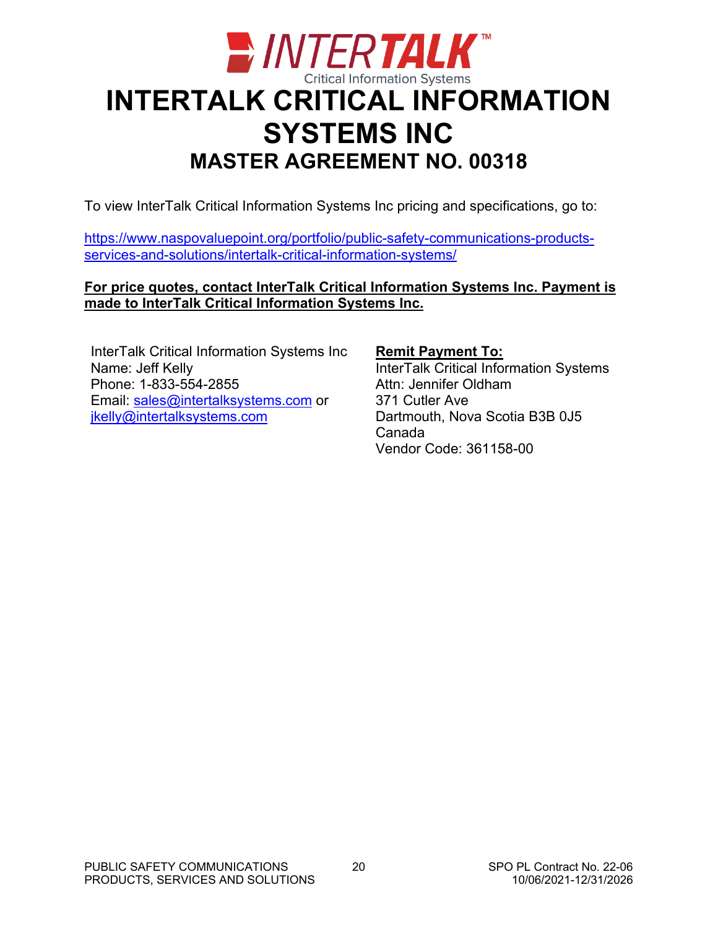### <span id="page-18-0"></span>**ENTERTALK** ritical Information Systems **INTERTALK CRITICAL INFORMATION SYSTEMS INC MASTER AGREEMENT NO. 00318**

To view InterTalk Critical Information Systems Inc pricing and specifications, go to:

[https://www.naspovaluepoint.org/portfolio/public-safety-communications-products](https://www.naspovaluepoint.org/portfolio/public-safety-communications-products-services-and-solutions/intertalk-critical-information-systems/)[services-and-solutions/intertalk-critical-information-systems/](https://www.naspovaluepoint.org/portfolio/public-safety-communications-products-services-and-solutions/intertalk-critical-information-systems/) 

### **For price quotes, contact InterTalk Critical Information Systems Inc. Payment is made to InterTalk Critical Information Systems Inc.**

InterTalk Critical Information Systems Inc Name: Jeff Kelly Phone: 1-833-554-2855 Email: [sales@intertalksystems.com](mailto:sales@intertalksystems.com) or [jkelly@intertalksystems.com](mailto:jkelly@intertalksystems.com)

**Remit Payment To:**  InterTalk Critical Information Systems Attn: Jennifer Oldham 371 Cutler Ave Dartmouth, Nova Scotia B3B 0J5 Canada Vendor Code: 361158-00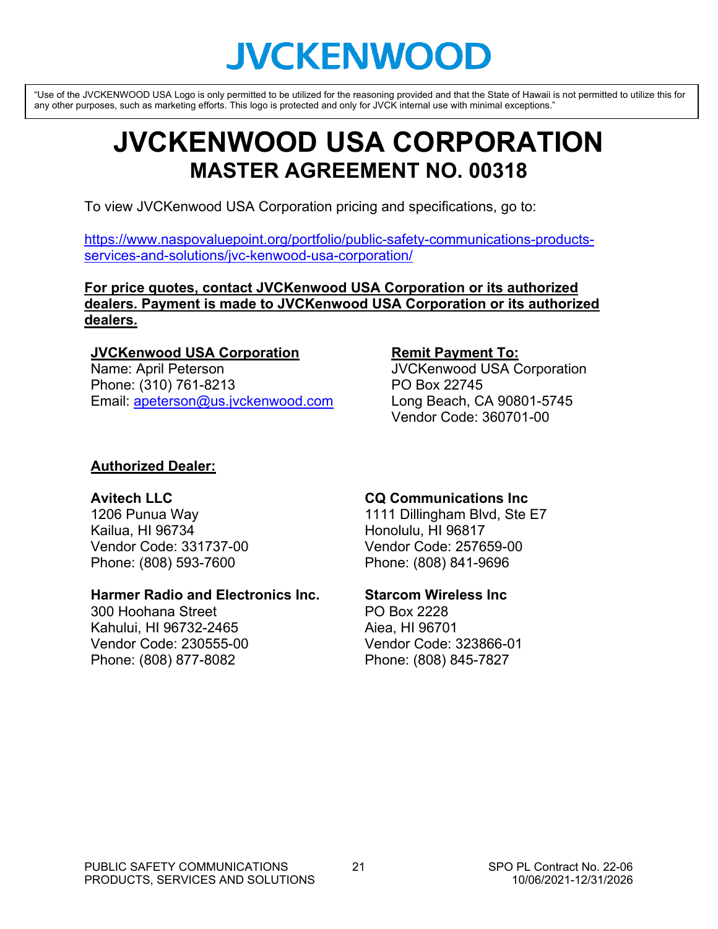## **JVCKENWOOD**

<span id="page-19-0"></span>"Use of the JVCKENWOOD USA Logo is only permitted to be utilized for the reasoning provided and that the State of Hawaii is not permitted to utilize this for any other purposes, such as marketing efforts. This logo is protected and only for JVCK internal use with minimal exceptions."

### **JVCKENWOOD USA CORPORATION MASTER AGREEMENT NO. 00318**

To view JVCKenwood USA Corporation pricing and specifications, go to:

[https://www.naspovaluepoint.org/portfolio/public-safety-communications-products](https://www.naspovaluepoint.org/portfolio/public-safety-communications-products-services-and-solutions/jvc-kenwood-usa-corporation/)[services-and-solutions/jvc-kenwood-usa-corporation/](https://www.naspovaluepoint.org/portfolio/public-safety-communications-products-services-and-solutions/jvc-kenwood-usa-corporation/)

**For price quotes, contact JVCKenwood USA Corporation or its authorized dealers. Payment is made to JVCKenwood USA Corporation or its authorized dealers.**

#### **JVCKenwood USA Corporation**

Name: April Peterson Phone: (310) 761-8213 Email: [apeterson@us.jvckenwood.com](mailto:apeterson@us.jvckenwood.com)

### **Remit Payment To:**

JVCKenwood USA Corporation PO Box 22745 Long Beach, CA 90801-5745 Vendor Code: 360701-00

### **Authorized Dealer:**

### **Avitech LLC**

1206 Punua Way Kailua, HI 96734 Vendor Code: 331737-00 Phone: (808) 593-7600

#### **Harmer Radio and Electronics Inc.**

300 Hoohana Street Kahului, HI 96732-2465 Vendor Code: 230555-00 Phone: (808) 877-8082

### **CQ Communications Inc**

1111 Dillingham Blvd, Ste E7 Honolulu, HI 96817 Vendor Code: 257659-00 Phone: (808) 841-9696

### **Starcom Wireless Inc**

PO Box 2228 Aiea, HI 96701 Vendor Code: 323866-01 Phone: (808) 845-7827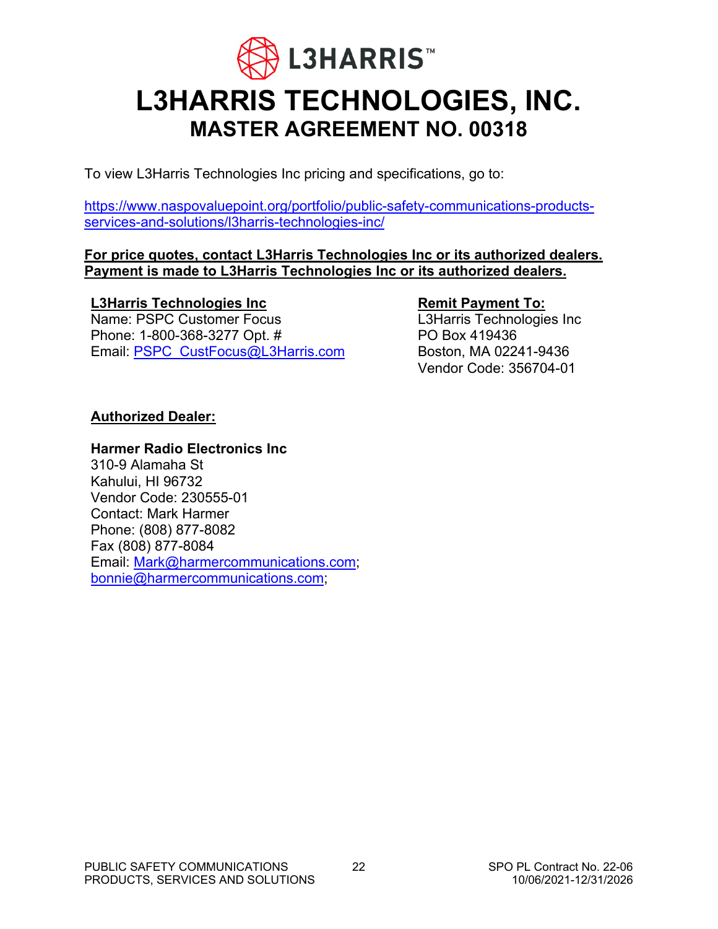

### <span id="page-20-0"></span>**L3HARRIS TECHNOLOGIES, INC. MASTER AGREEMENT NO. 00318**

To view L3Harris Technologies Inc pricing and specifications, go to:

[https://www.naspovaluepoint.org/portfolio/public-safety-communications-products](https://www.naspovaluepoint.org/portfolio/public-safety-communications-products-services-and-solutions/l3harris-technologies-inc/)[services-and-solutions/l3harris-technologies-inc/](https://www.naspovaluepoint.org/portfolio/public-safety-communications-products-services-and-solutions/l3harris-technologies-inc/)

### **For price quotes, contact L3Harris Technologies Inc or its authorized dealers. Payment is made to L3Harris Technologies Inc or its authorized dealers.**

### **L3Harris Technologies Inc**

Name: PSPC Customer Focus Phone: 1-800-368-3277 Opt. # Email: [PSPC\\_CustFocus@L3Harris.com](mailto:PSPC_CustFocus@L3Harris.com)

### **Remit Payment To:**

L3Harris Technologies Inc PO Box 419436 Boston, MA 02241-9436 Vendor Code: 356704-01

### **Authorized Dealer:**

### **Harmer Radio Electronics Inc**

310-9 Alamaha St Kahului, HI 96732 Vendor Code: 230555-01 Contact: Mark Harmer Phone: (808) 877-8082 Fax (808) 877-8084 Email: [Mark@harmercommunications.com;](mailto:Mark@harmercommunications.com) [bonnie@harmercommunications.com;](mailto:bonnie@harmercommunications.com)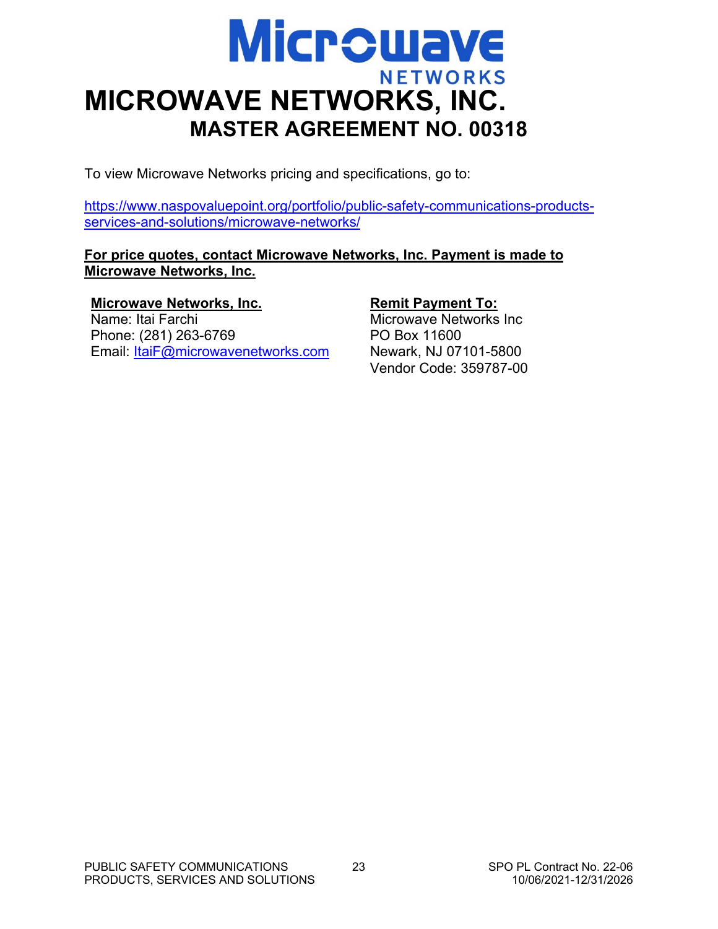### <span id="page-21-0"></span>**Microwave NETWORKS MICROWAVE NETWORKS, INC. MASTER AGREEMENT NO. 00318**

To view Microwave Networks pricing and specifications, go to:

[https://www.naspovaluepoint.org/portfolio/public-safety-communications-products](https://www.naspovaluepoint.org/portfolio/public-safety-communications-products-services-and-solutions/microwave-networks/)[services-and-solutions/microwave-networks/](https://www.naspovaluepoint.org/portfolio/public-safety-communications-products-services-and-solutions/microwave-networks/) 

### **For price quotes, contact Microwave Networks, Inc. Payment is made to Microwave Networks, Inc.**

### **Microwave Networks, Inc.**

Name: Itai Farchi Phone: (281) 263-6769 Email: [ItaiF@microwavenetworks.com](mailto:ItaiF@microwavenetworks.com)

### **Remit Payment To:**

Microwave Networks Inc PO Box 11600 Newark, NJ 07101-5800 Vendor Code: 359787-00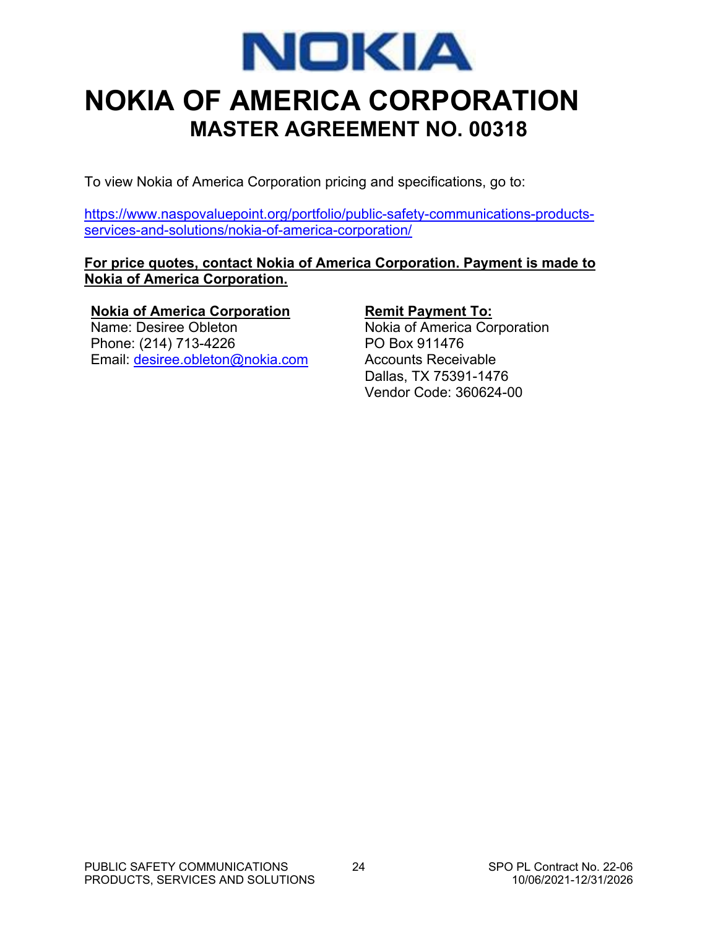

### <span id="page-22-0"></span>**NOKIA OF AMERICA CORPORATION MASTER AGREEMENT NO. 00318**

To view Nokia of America Corporation pricing and specifications, go to:

[https://www.naspovaluepoint.org/portfolio/public-safety-communications-products](https://www.naspovaluepoint.org/portfolio/public-safety-communications-products-services-and-solutions/nokia-of-america-corporation/)[services-and-solutions/nokia-of-america-corporation/](https://www.naspovaluepoint.org/portfolio/public-safety-communications-products-services-and-solutions/nokia-of-america-corporation/)

### **For price quotes, contact Nokia of America Corporation. Payment is made to Nokia of America Corporation.**

### **Nokia of America Corporation**

Name: Desiree Obleton Phone: (214) 713-4226 Email: [desiree.obleton@nokia.com](mailto:desiree.obleton@nokia.com)

#### **Remit Payment To:**

Nokia of America Corporation PO Box 911476 Accounts Receivable Dallas, TX 75391-1476 Vendor Code: 360624-00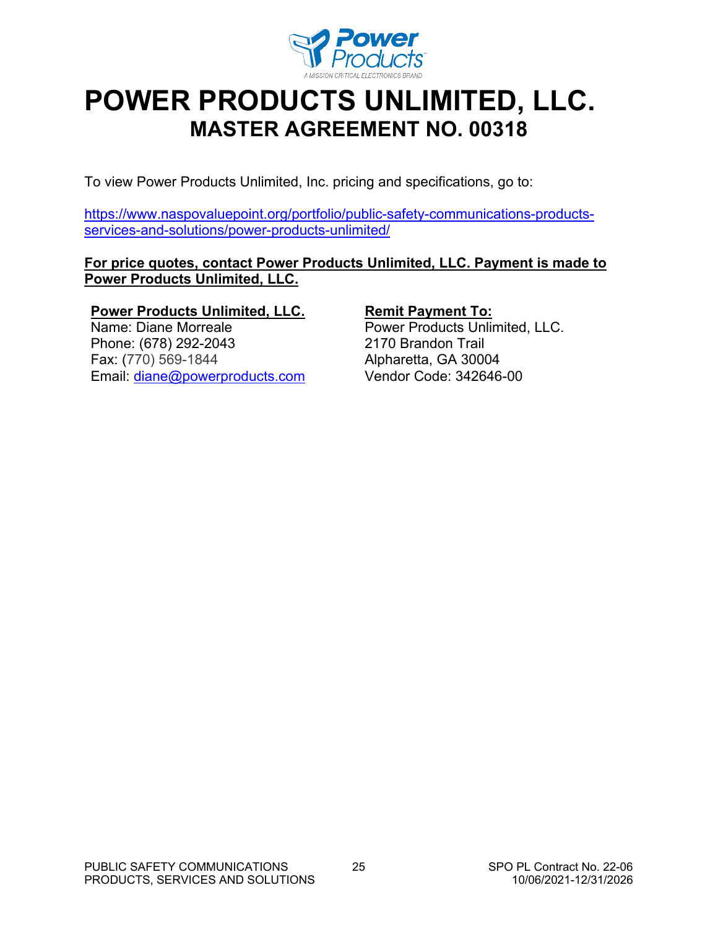

### <span id="page-23-0"></span>**POWER PRODUCTS UNLIMITED, LLC. MASTER AGREEMENT NO. 00318**

To view Power Products Unlimited, Inc. pricing and specifications, go to:

[https://www.naspovaluepoint.org/portfolio/public-safety-communications-products](https://www.naspovaluepoint.org/portfolio/public-safety-communications-products-services-and-solutions/power-products-unlimited/)[services-and-solutions/power-products-unlimited/](https://www.naspovaluepoint.org/portfolio/public-safety-communications-products-services-and-solutions/power-products-unlimited/) 

### **For price quotes, contact Power Products Unlimited, LLC. Payment is made to Power Products Unlimited, LLC.**

### **Power Products Unlimited, LLC.**

Name: Diane Morreale Phone: (678) 292-2043 Fax: (770) 569-1844 Email: [diane@powerproducts.com](mailto:diane@powerproducts.com)

#### **Remit Payment To:**

Power Products Unlimited, LLC. 2170 Brandon Trail Alpharetta, GA 30004 Vendor Code: 342646-00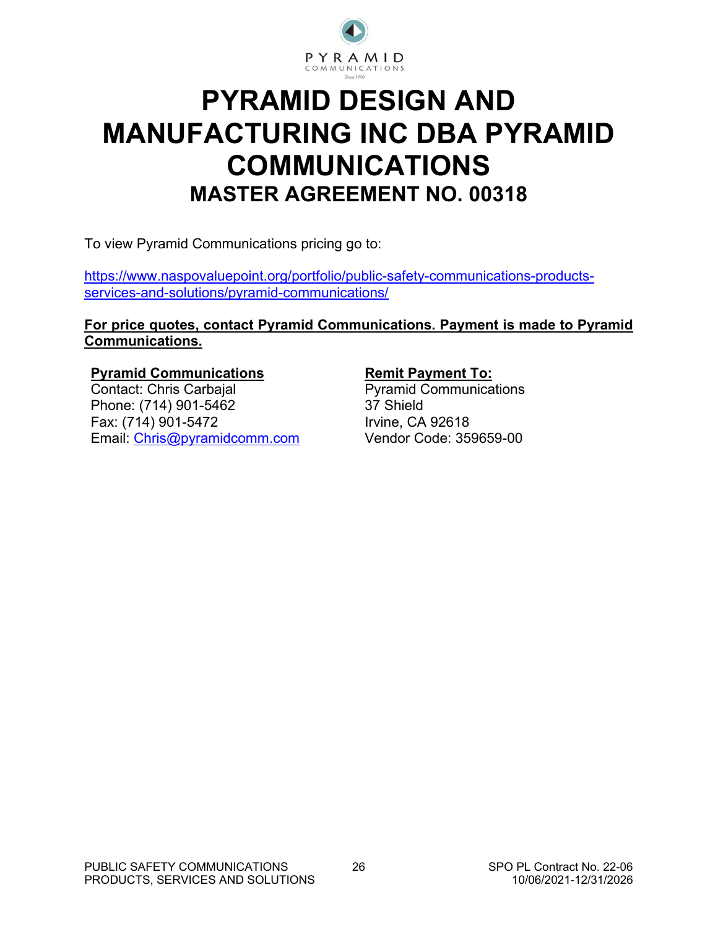

### <span id="page-24-0"></span>**PYRAMID DESIGN AND MANUFACTURING INC DBA PYRAMID COMMUNICATIONS MASTER AGREEMENT NO. 00318**

To view Pyramid Communications pricing go to:

[https://www.naspovaluepoint.org/portfolio/public-safety-communications-products](https://www.naspovaluepoint.org/portfolio/public-safety-communications-products-services-and-solutions/pyramid-communications/)[services-and-solutions/pyramid-communications/](https://www.naspovaluepoint.org/portfolio/public-safety-communications-products-services-and-solutions/pyramid-communications/) 

### **For price quotes, contact Pyramid Communications. Payment is made to Pyramid Communications.**

### **Pyramid Communications**

Contact: Chris Carbajal Phone: (714) 901-5462 Fax: (714) 901-5472 Email: [Chris@pyramidcomm.com](mailto:Chris@pyramidcomm.com)

### **Remit Payment To:**

Pyramid Communications 37 Shield Irvine, CA 92618 Vendor Code: 359659-00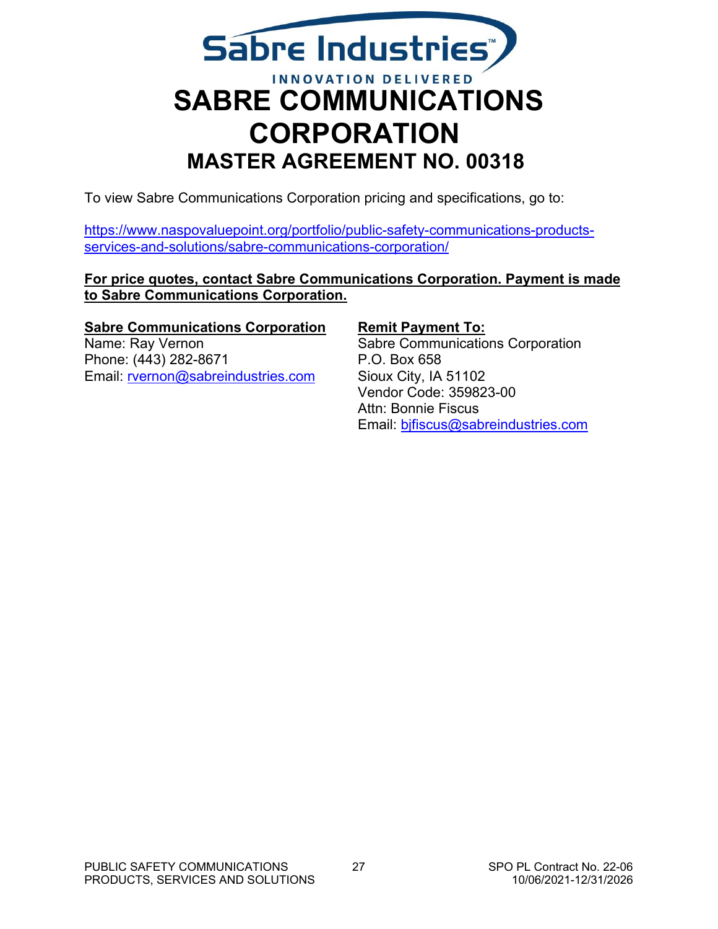<span id="page-25-0"></span>

To view Sabre Communications Corporation pricing and specifications, go to:

[https://www.naspovaluepoint.org/portfolio/public-safety-communications-products](https://www.naspovaluepoint.org/portfolio/public-safety-communications-products-services-and-solutions/sabre-communications-corporation/)[services-and-solutions/sabre-communications-corporation/](https://www.naspovaluepoint.org/portfolio/public-safety-communications-products-services-and-solutions/sabre-communications-corporation/) 

**For price quotes, contact Sabre Communications Corporation. Payment is made to Sabre Communications Corporation.**

### **Sabre Communications Corporation**

Name: Ray Vernon Phone: (443) 282-8671 Email: [rvernon@sabreindustries.com](mailto:rvernon@sabreindustries.com) **Remit Payment To:** Sabre Communications Corporation P.O. Box 658 Sioux City, IA 51102 Vendor Code: 359823-00 Attn: Bonnie Fiscus Email: [bjfiscus@sabreindustries.com](mailto:bjfiscus@sabreindustries.com)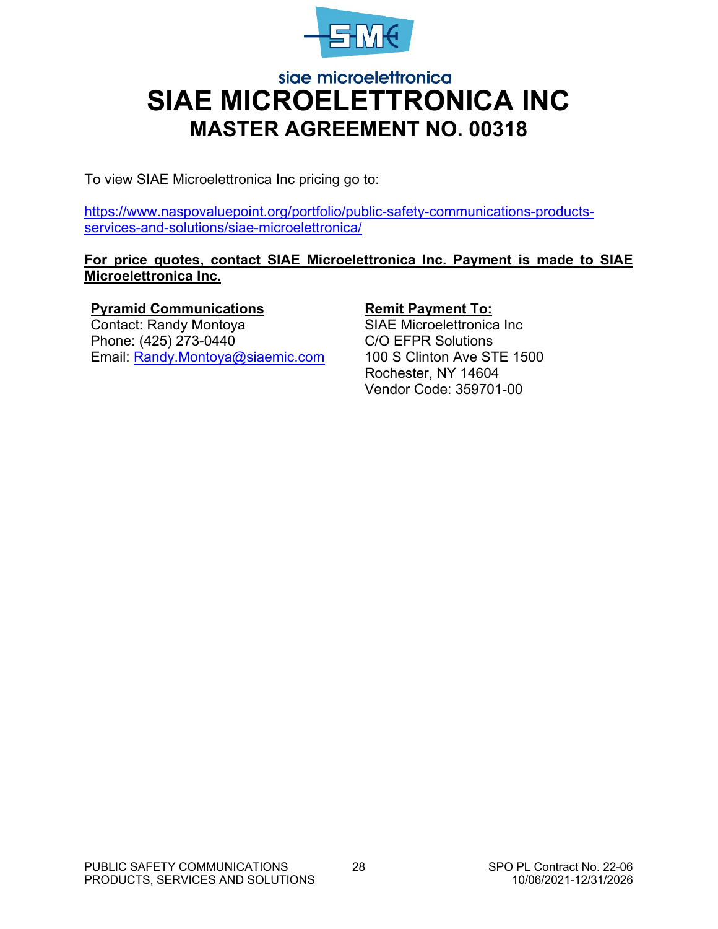

### <span id="page-26-0"></span>siae microelettronica **SIAE MICROELETTRONICA INC MASTER AGREEMENT NO. 00318**

To view SIAE Microelettronica Inc pricing go to:

[https://www.naspovaluepoint.org/portfolio/public-safety-communications-products](https://www.naspovaluepoint.org/portfolio/public-safety-communications-products-services-and-solutions/siae-microelettronica/)[services-and-solutions/siae-microelettronica/](https://www.naspovaluepoint.org/portfolio/public-safety-communications-products-services-and-solutions/siae-microelettronica/)

### **For price quotes, contact SIAE Microelettronica Inc. Payment is made to SIAE Microelettronica Inc.**

### **Pyramid Communications**

Contact: Randy Montoya Phone: (425) 273-0440 Email: [Randy.Montoya@siaemic.com](mailto:Randy.Montoya@siaemic.com)

### **Remit Payment To:**

SIAE Microelettronica Inc C/O EFPR Solutions 100 S Clinton Ave STE 1500 Rochester, NY 14604 Vendor Code: 359701-00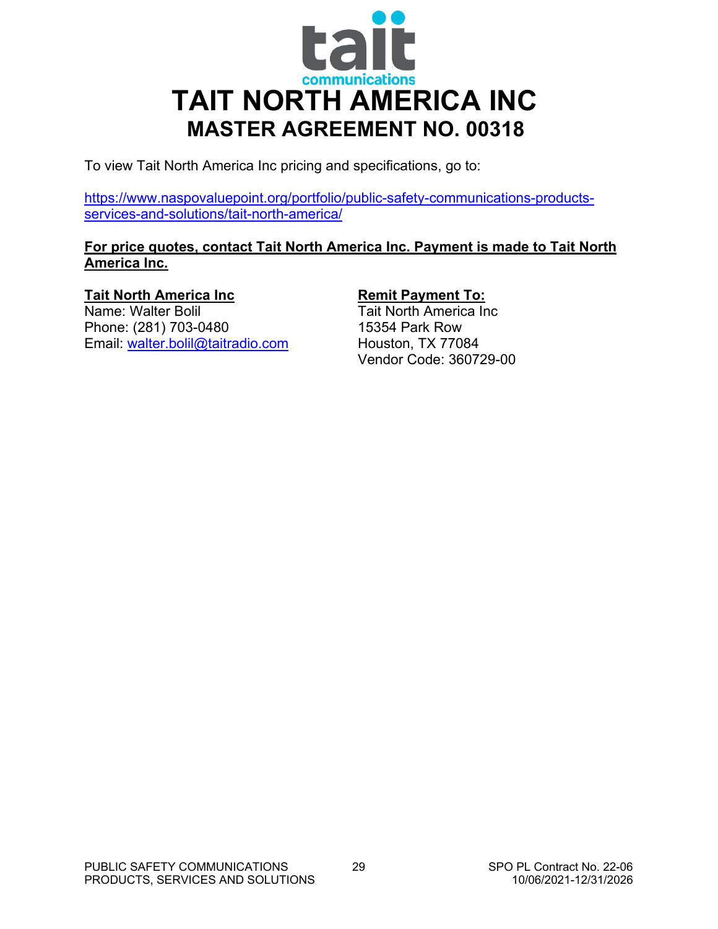<span id="page-27-0"></span>

To view Tait North America Inc pricing and specifications, go to:

[https://www.naspovaluepoint.org/portfolio/public-safety-communications-products](https://www.naspovaluepoint.org/portfolio/public-safety-communications-products-services-and-solutions/tait-north-america/)[services-and-solutions/tait-north-america/](https://www.naspovaluepoint.org/portfolio/public-safety-communications-products-services-and-solutions/tait-north-america/)

### **For price quotes, contact Tait North America Inc. Payment is made to Tait North America Inc.**

### **Tait North America Inc**

Name: Walter Bolil Phone: (281) 703-0480 Email: [walter.bolil@taitradio.com](mailto:walter.bolil@taitradio.com) 

### **Remit Payment To:**

Tait North America Inc 15354 Park Row Houston, TX 77084 Vendor Code: 360729-00